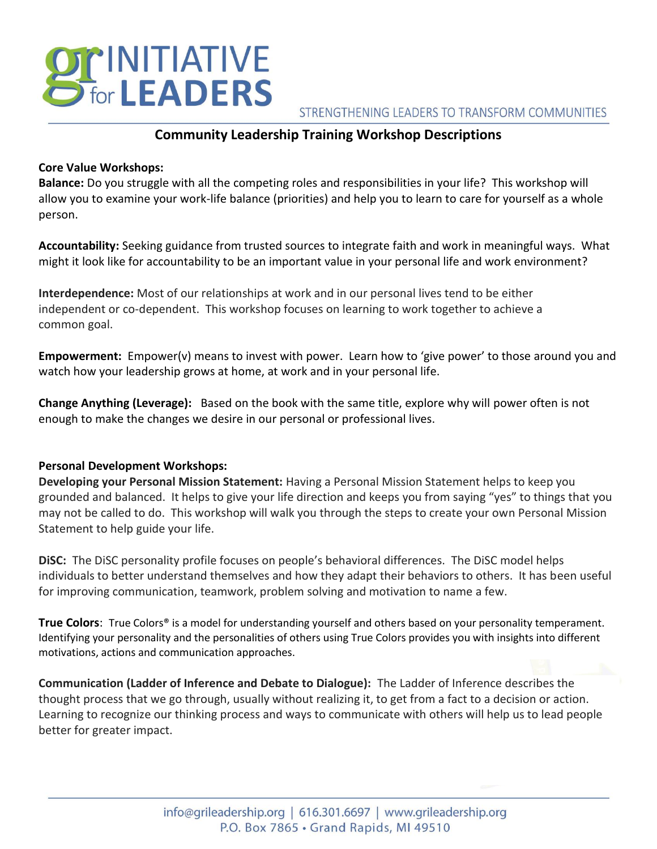# **DICINITIATIVE**<br>Diffor **LEADERS**

## STRENGTHENING LEADERS TO TRANSFORM COMMUNITIES

# **Community Leadership Training Workshop Descriptions**

### **Core Value Workshops:**

**Balance:** Do you struggle with all the competing roles and responsibilities in your life? This workshop will allow you to examine your work-life balance (priorities) and help you to learn to care for yourself as a whole person.

**Accountability:** Seeking guidance from trusted sources to integrate faith and work in meaningful ways. What might it look like for accountability to be an important value in your personal life and work environment?

**Interdependence:** Most of our relationships at work and in our personal lives tend to be either independent or co-dependent. This workshop focuses on learning to work together to achieve a common goal.

**Empowerment:** Empower(v) means to invest with power. Learn how to 'give power' to those around you and watch how your leadership grows at home, at work and in your personal life.

**Change Anything (Leverage):** Based on the book with the same title, explore why will power often is not enough to make the changes we desire in our personal or professional lives.

## **Personal Development Workshops:**

**Developing your Personal Mission Statement:** Having a Personal Mission Statement helps to keep you grounded and balanced. It helps to give your life direction and keeps you from saying "yes" to things that you may not be called to do. This workshop will walk you through the steps to create your own Personal Mission Statement to help guide your life.

**DiSC:** The DiSC personality profile focuses on people's behavioral differences. The DiSC model helps individuals to better understand themselves and how they adapt their behaviors to others. It has been useful for improving communication, teamwork, problem solving and motivation to name a few.

**True Colors**: True Colors® is a model for understanding yourself and others based on your personality temperament. Identifying your personality and the personalities of others using True Colors provides you with insights into different motivations, actions and communication approaches.

**Communication (Ladder of Inference and Debate to Dialogue):** The Ladder of Inference describes the thought process that we go through, usually without realizing it, to get from a fact to a decision or action. Learning to recognize our thinking process and ways to communicate with others will help us to lead people better for greater impact.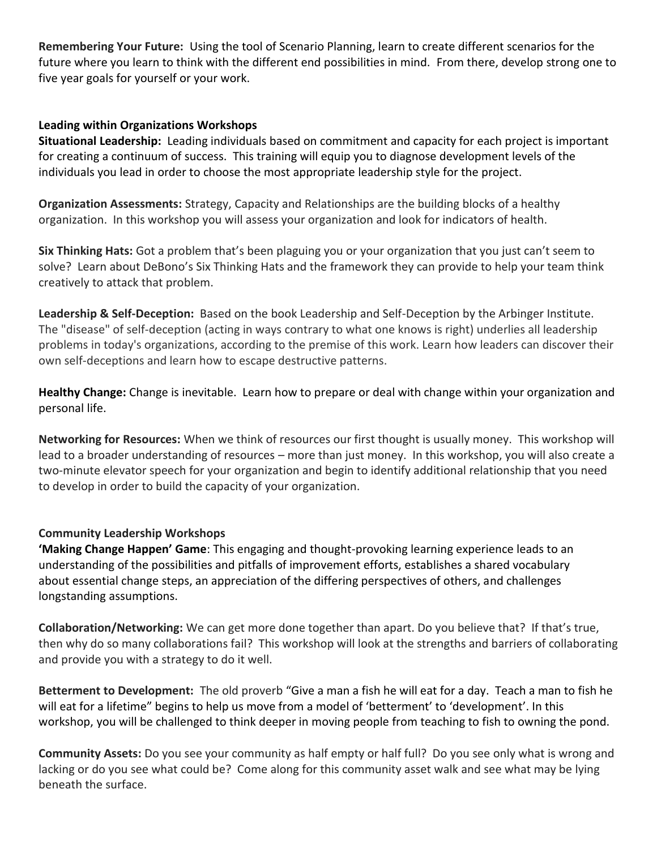**Remembering Your Future:** Using the tool of Scenario Planning, learn to create different scenarios for the future where you learn to think with the different end possibilities in mind. From there, develop strong one to five year goals for yourself or your work.

### **Leading within Organizations Workshops**

**Situational Leadership:** Leading individuals based on commitment and capacity for each project is important for creating a continuum of success. This training will equip you to diagnose development levels of the individuals you lead in order to choose the most appropriate leadership style for the project.

**Organization Assessments:** Strategy, Capacity and Relationships are the building blocks of a healthy organization. In this workshop you will assess your organization and look for indicators of health.

**Six Thinking Hats:** Got a problem that's been plaguing you or your organization that you just can't seem to solve? Learn about DeBono's Six Thinking Hats and the framework they can provide to help your team think creatively to attack that problem.

**Leadership & Self-Deception:** Based on the book Leadership and Self-Deception by the Arbinger Institute. The "disease" of self-deception (acting in ways contrary to what one knows is right) underlies all leadership problems in today's organizations, according to the premise of this work. Learn how leaders can discover their own self-deceptions and learn how to escape destructive patterns.

**Healthy Change:** Change is inevitable. Learn how to prepare or deal with change within your organization and personal life.

**Networking for Resources:** When we think of resources our first thought is usually money. This workshop will lead to a broader understanding of resources – more than just money. In this workshop, you will also create a two-minute elevator speech for your organization and begin to identify additional relationship that you need to develop in order to build the capacity of your organization.

## **Community Leadership Workshops**

**'Making Change Happen' Game**: This engaging and thought-provoking learning experience leads to an understanding of the possibilities and pitfalls of improvement efforts, establishes a shared vocabulary about essential change steps, an appreciation of the differing perspectives of others, and challenges longstanding assumptions.

**Collaboration/Networking:** We can get more done together than apart. Do you believe that? If that's true, then why do so many collaborations fail? This workshop will look at the strengths and barriers of collaborating and provide you with a strategy to do it well.

**Betterment to Development:** The old proverb "Give a man a fish he will eat for a day. Teach a man to fish he will eat for a lifetime" begins to help us move from a model of 'betterment' to 'development'. In this workshop, you will be challenged to think deeper in moving people from teaching to fish to owning the pond.

**Community Assets:** Do you see your community as half empty or half full? Do you see only what is wrong and lacking or do you see what could be? Come along for this community asset walk and see what may be lying beneath the surface.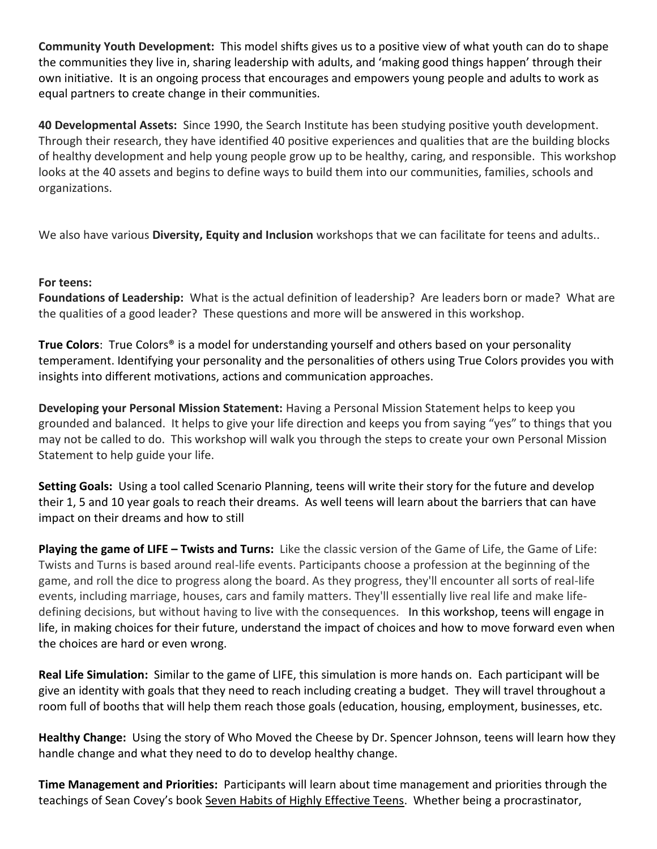**Community Youth Development:** This model shifts gives us to a positive view of what youth can do to shape the communities they live in, sharing leadership with adults, and 'making good things happen' through their own initiative. It is an ongoing process that encourages and empowers young people and adults to work as equal partners to create change in their communities.

**40 Developmental Assets:** Since 1990, the Search Institute has been studying positive youth development. Through their research, they have identified 40 positive experiences and qualities that are the building blocks of healthy development and help young people grow up to be healthy, caring, and responsible. This workshop looks at the 40 assets and begins to define ways to build them into our communities, families, schools and organizations.

We also have various **Diversity, Equity and Inclusion** workshops that we can facilitate for teens and adults..

## **For teens:**

**Foundations of Leadership:** What is the actual definition of leadership? Are leaders born or made? What are the qualities of a good leader? These questions and more will be answered in this workshop.

**True Colors**: True Colors® is a model for understanding yourself and others based on your personality temperament. Identifying your personality and the personalities of others using True Colors provides you with insights into different motivations, actions and communication approaches.

**Developing your Personal Mission Statement:** Having a Personal Mission Statement helps to keep you grounded and balanced. It helps to give your life direction and keeps you from saying "yes" to things that you may not be called to do. This workshop will walk you through the steps to create your own Personal Mission Statement to help guide your life.

**Setting Goals:** Using a tool called Scenario Planning, teens will write their story for the future and develop their 1, 5 and 10 year goals to reach their dreams. As well teens will learn about the barriers that can have impact on their dreams and how to still

**Playing the game of LIFE – Twists and Turns:** Like the classic version of the Game of Life, the Game of Life: Twists and Turns is based around real-life events. Participants choose a profession at the beginning of the game, and roll the dice to progress along the board. As they progress, they'll encounter all sorts of real-life events, including marriage, houses, cars and family matters. They'll essentially live real life and make lifedefining decisions, but without having to live with the consequences. In this workshop, teens will engage in life, in making choices for their future, understand the impact of choices and how to move forward even when the choices are hard or even wrong.

**Real Life Simulation:** Similar to the game of LIFE, this simulation is more hands on. Each participant will be give an identity with goals that they need to reach including creating a budget. They will travel throughout a room full of booths that will help them reach those goals (education, housing, employment, businesses, etc.

**Healthy Change:** Using the story of Who Moved the Cheese by Dr. Spencer Johnson, teens will learn how they handle change and what they need to do to develop healthy change.

**Time Management and Priorities:** Participants will learn about time management and priorities through the teachings of Sean Covey's book Seven Habits of Highly Effective Teens. Whether being a procrastinator,